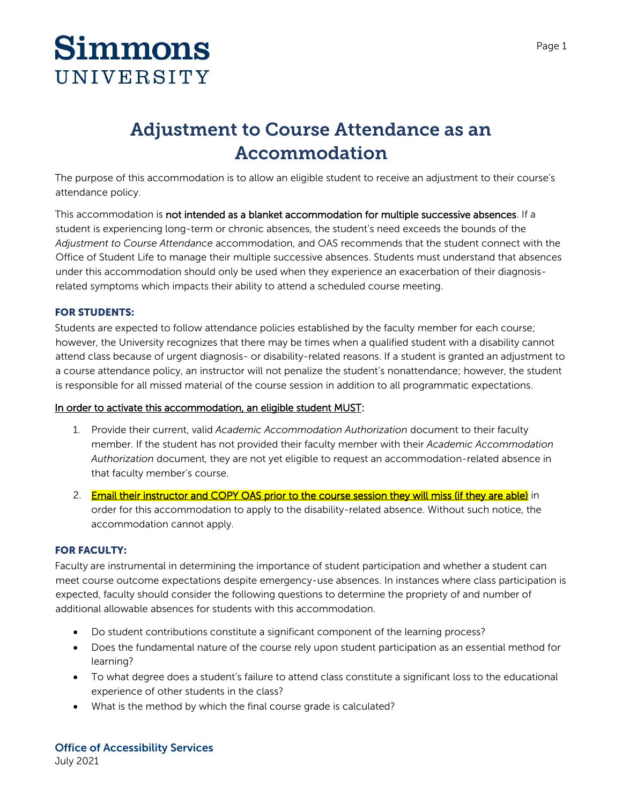# **Simmons** UNIVERSITY

## **Adjustment to Course Attendance as an Accommodation**

The purpose of this accommodation is to allow an eligible student to receive an adjustment to their course's attendance policy.

This accommodation is not intended as a blanket accommodation for multiple successive absences. If a student is experiencing long-term or chronic absences, the student's need exceeds the bounds of the *Adjustment to Course Attendance* accommodation, and OAS recommends that the student connect with the Office of Student Life to manage their multiple successive absences. Students must understand that absences under this accommodation should only be used when they experience an exacerbation of their diagnosisrelated symptoms which impacts their ability to attend a scheduled course meeting.

### **FOR STUDENTS:**

Students are expected to follow attendance policies established by the faculty member for each course; however, the University recognizes that there may be times when a qualified student with a disability cannot attend class because of urgent diagnosis- or disability-related reasons. If a student is granted an adjustment to a course attendance policy, an instructor will not penalize the student's nonattendance; however, the student is responsible for all missed material of the course session in addition to all programmatic expectations.

#### In order to activate this accommodation, an eligible student MUST:

- 1. Provide their current, valid *Academic Accommodation Authorization* document to their faculty member. If the student has not provided their faculty member with their *Academic Accommodation Authorization* document, they are not yet eligible to request an accommodation-related absence in that faculty member's course.
- 2. Email their instructor and COPY OAS prior to the course session they will miss (if they are able) in order for this accommodation to apply to the disability-related absence. Without such notice, the accommodation cannot apply.

### **FOR FACULTY:**

Faculty are instrumental in determining the importance of student participation and whether a student can meet course outcome expectations despite emergency-use absences. In instances where class participation is expected, faculty should consider the following questions to determine the propriety of and number of additional allowable absences for students with this accommodation.

- Do student contributions constitute a significant component of the learning process?
- Does the fundamental nature of the course rely upon student participation as an essential method for learning?
- To what degree does a student's failure to attend class constitute a significant loss to the educational experience of other students in the class?
- What is the method by which the final course grade is calculated?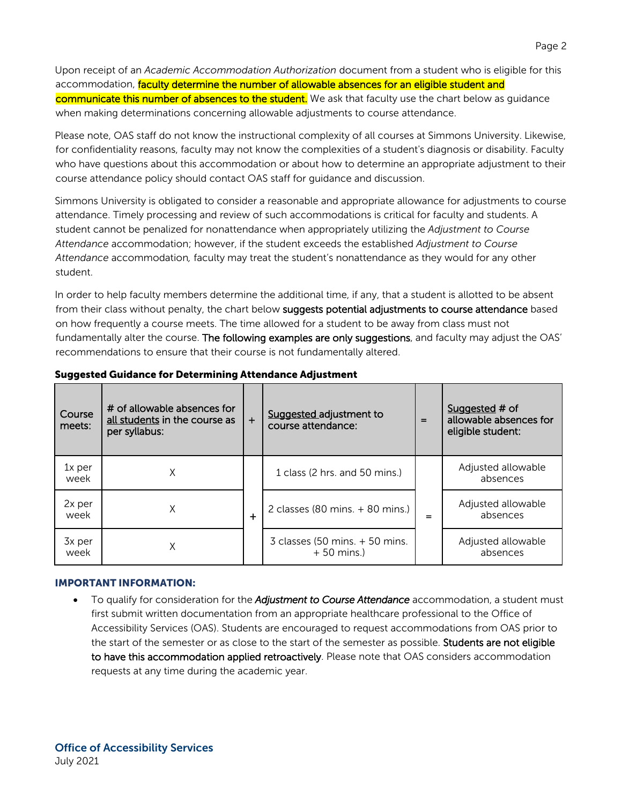Upon receipt of an *Academic Accommodation Authorization* document from a student who is eligible for this accommodation, faculty determine the number of allowable absences for an eligible student and communicate this number of absences to the student. We ask that faculty use the chart below as guidance when making determinations concerning allowable adjustments to course attendance.

Please note, OAS staff do not know the instructional complexity of all courses at Simmons University. Likewise, for confidentiality reasons, faculty may not know the complexities of a student's diagnosis or disability. Faculty who have questions about this accommodation or about how to determine an appropriate adjustment to their course attendance policy should contact OAS staff for guidance and discussion.

Simmons University is obligated to consider a reasonable and appropriate allowance for adjustments to course attendance. Timely processing and review of such accommodations is critical for faculty and students. A student cannot be penalized for nonattendance when appropriately utilizing the *Adjustment to Course Attendance* accommodation; however, if the student exceeds the established *Adjustment to Course Attendance* accommodation*,* faculty may treat the student's nonattendance as they would for any other student.

In order to help faculty members determine the additional time, if any, that a student is allotted to be absent from their class without penalty, the chart below suggests potential adjustments to course attendance based on how frequently a course meets. The time allowed for a student to be away from class must not fundamentally alter the course. The following examples are only suggestions, and faculty may adjust the OAS' recommendations to ensure that their course is not fundamentally altered.

| Course<br>meets: | # of allowable absences for<br>all students in the course as<br>per syllabus: | $+$       | Suggested adjustment to<br>course attendance:     | $=$ | Suggested # of<br>allowable absences for<br>eligible student: |
|------------------|-------------------------------------------------------------------------------|-----------|---------------------------------------------------|-----|---------------------------------------------------------------|
| $1x$ per<br>week | Χ                                                                             |           | 1 class (2 hrs. and 50 mins.)                     |     | Adjusted allowable<br>absences                                |
| 2x per<br>week   | Χ                                                                             | $\ddot{}$ | 2 classes (80 mins. $+$ 80 mins.)                 | =   | Adjusted allowable<br>absences                                |
| 3x per<br>week   | Χ                                                                             |           | $3$ classes (50 mins. $+50$ mins.<br>$+50$ mins.) |     | Adjusted allowable<br>absences                                |

#### **IMPORTANT INFORMATION:**

 To qualify for consideration for the *Adjustment to Course Attendance* accommodation, a student must first submit written documentation from an appropriate healthcare professional to the Office of Accessibility Services (OAS). Students are encouraged to request accommodations from OAS prior to the start of the semester or as close to the start of the semester as possible. Students are not eligible to have this accommodation applied retroactively. Please note that OAS considers accommodation requests at any time during the academic year.